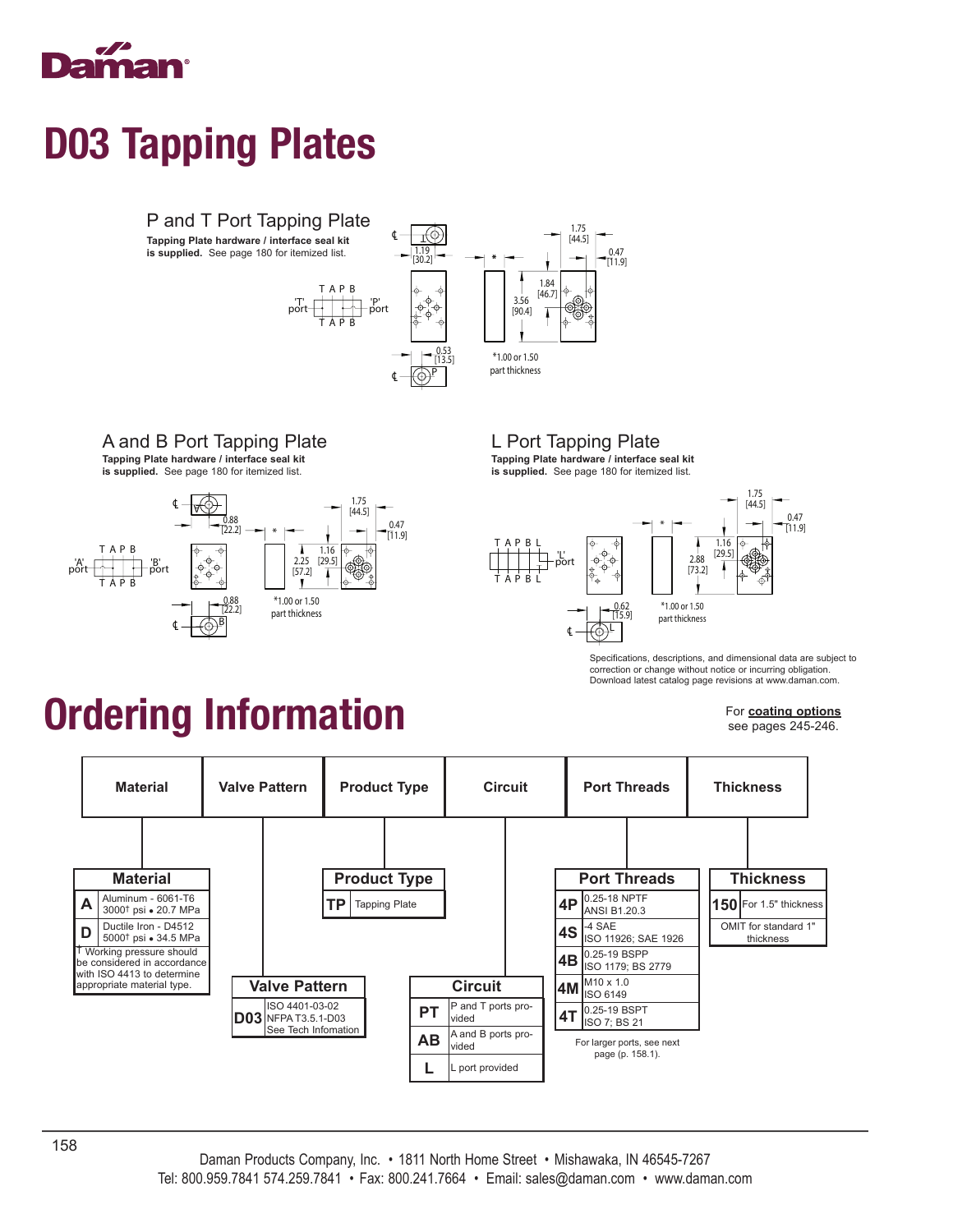

### D03 Tapping Plates



### A and B Port Tapping Plate

**Tapping Plate hardware / interface seal kit** 





L Port Tapping Plate

**Tapping Plate hardware / interface seal kit is supplied.** See page 180 for itemized list.



Specifications, descriptions, and dimensional data are subject to correction or change without notice or incurring obligation. Download latest catalog page revisions at www.daman.com.

### Ordering Information

For **coating options** see pages 245-246.

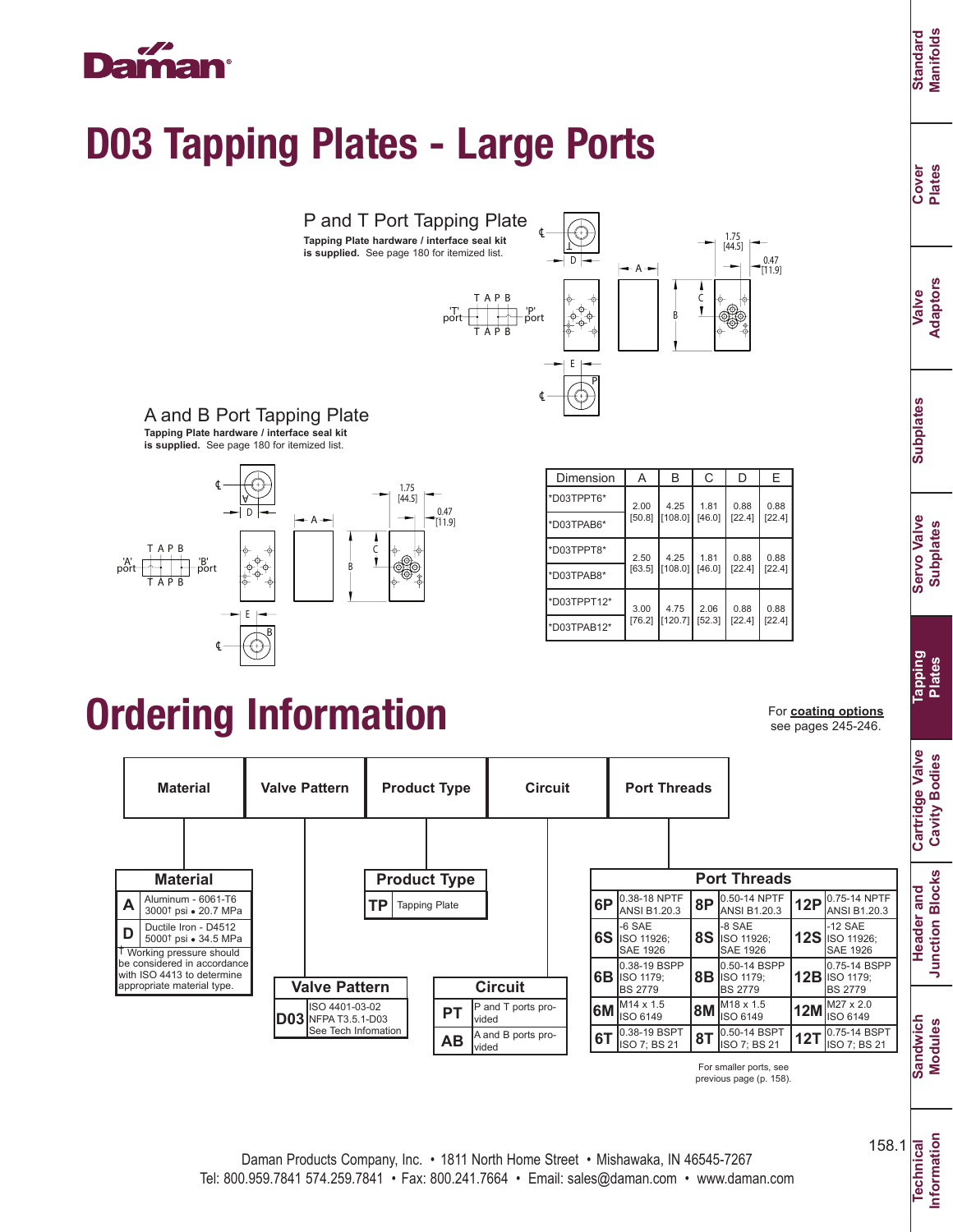### ma

## D03 Tapping Plates - Large Ports



A and B Port Tapping Plate **Tapping Plate hardware / interface seal kit is supplied.** See page 180 for itemized list.



| Dimension   | A              | B               | С              | D              | Е              |
|-------------|----------------|-----------------|----------------|----------------|----------------|
| *D03TPPT6*  | 2.00<br>[50.8] | 4.25<br>108.01  | 1.81<br>[46.0] | 0.88<br>[22.4] | 0.88<br>[22.4] |
| *D03TPAB6*  |                |                 |                |                |                |
| *D03TPPT8*  | 2.50<br>[63.5] | 4.25<br>[108.0] | 1.81<br>[46.0] | 0.88<br>[22.4] | 0.88<br>[22.4] |
| *D03TPAB8*  |                |                 |                |                |                |
| *D03TPPT12* | 3.00<br>[76.2] | 4.75<br>[120.7] | 2.06<br>[52.3] | 0.88<br>[22.4] | 0.88<br>[22.4] |
| *D03TPAB12* |                |                 |                |                |                |

### Ordering Information For coating options

see pages 245-246.



previous page (p. 158).

**Cover Plates**

**Valve Adaptors**

**Subplates Subplates**

**Header and Junction Blocks**

**Junction Blocks** Header and

**Technical Information**

Information **Technical** 

158.1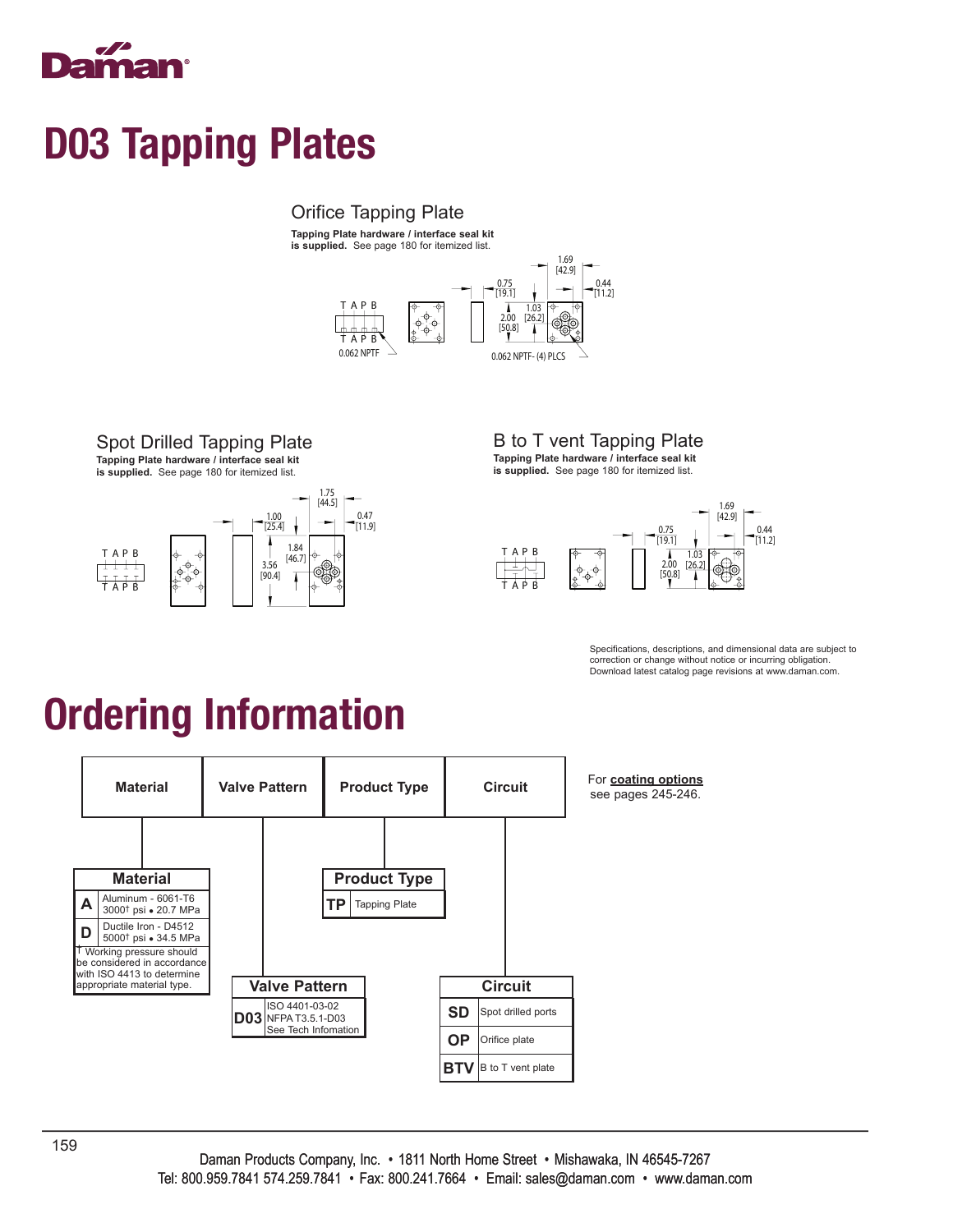

### D03 Tapping Plates

#### Orifice Tapping Plate

**Tapping Plate hardware / interface seal kit is supplied.** See page 180 for itemized list.



#### Spot Drilled Tapping Plate

**Tapping Plate hardware / interface seal kit is supplied.** See page 180 for itemized list.



B to T vent Tapping Plate **Tapping Plate hardware / interface seal kit is supplied.** See page 180 for itemized list.



Specifications, descriptions, and dimensional data are subject to correction or change without notice or incurring obligation. Download latest catalog page revisions at www.daman.com.

# Ordering Information